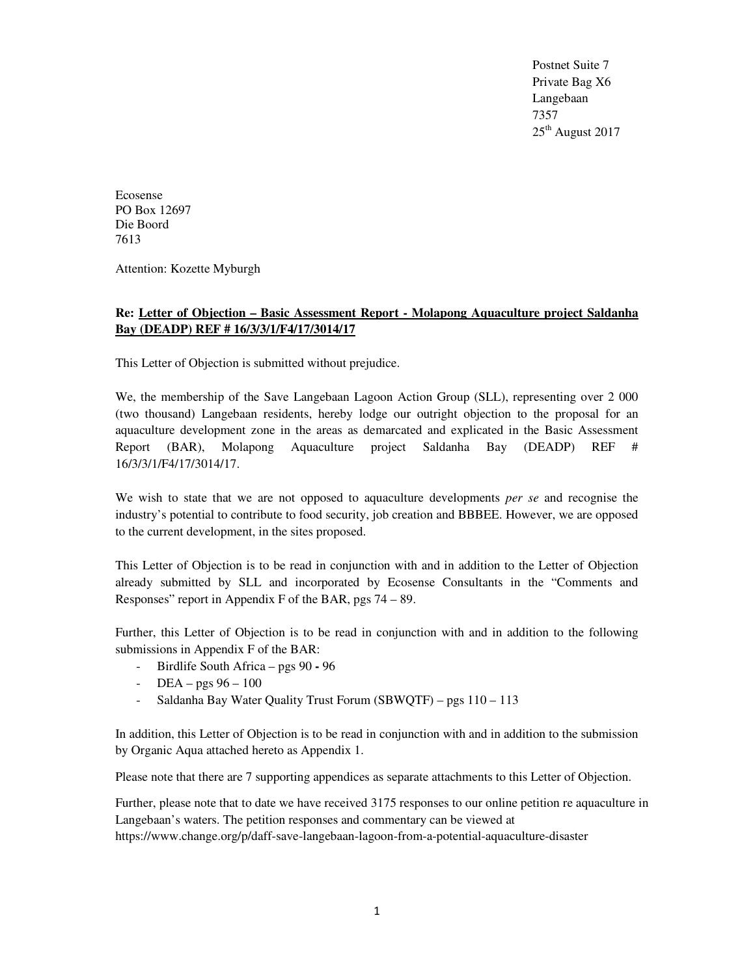Postnet Suite 7 Private Bag X6 Langebaan 7357 25<sup>th</sup> August 2017

Ecosense PO Box 12697 Die Boord 7613

Attention: Kozette Myburgh

# **Re: Letter of Objection – Basic Assessment Report - Molapong Aquaculture project Saldanha Bay (DEADP) REF # 16/3/3/1/F4/17/3014/17**

This Letter of Objection is submitted without prejudice.

We, the membership of the Save Langebaan Lagoon Action Group (SLL), representing over 2 000 (two thousand) Langebaan residents, hereby lodge our outright objection to the proposal for an aquaculture development zone in the areas as demarcated and explicated in the Basic Assessment Report (BAR), Molapong Aquaculture project Saldanha Bay (DEADP) REF # 16/3/3/1/F4/17/3014/17.

We wish to state that we are not opposed to aquaculture developments *per se* and recognise the industry's potential to contribute to food security, job creation and BBBEE. However, we are opposed to the current development, in the sites proposed.

This Letter of Objection is to be read in conjunction with and in addition to the Letter of Objection already submitted by SLL and incorporated by Ecosense Consultants in the "Comments and Responses" report in Appendix F of the BAR, pgs 74 – 89.

Further, this Letter of Objection is to be read in conjunction with and in addition to the following submissions in Appendix F of the BAR:

- Birdlife South Africa pgs 90 96
- $DEA pgs 96 100$
- Saldanha Bay Water Quality Trust Forum (SBWQTF) pgs 110 113

In addition, this Letter of Objection is to be read in conjunction with and in addition to the submission by Organic Aqua attached hereto as Appendix 1.

Please note that there are 7 supporting appendices as separate attachments to this Letter of Objection.

Further, please note that to date we have received 3175 responses to our online petition re aquaculture in Langebaan's waters. The petition responses and commentary can be viewed at https://www.change.org/p/daff-save-langebaan-lagoon-from-a-potential-aquaculture-disaster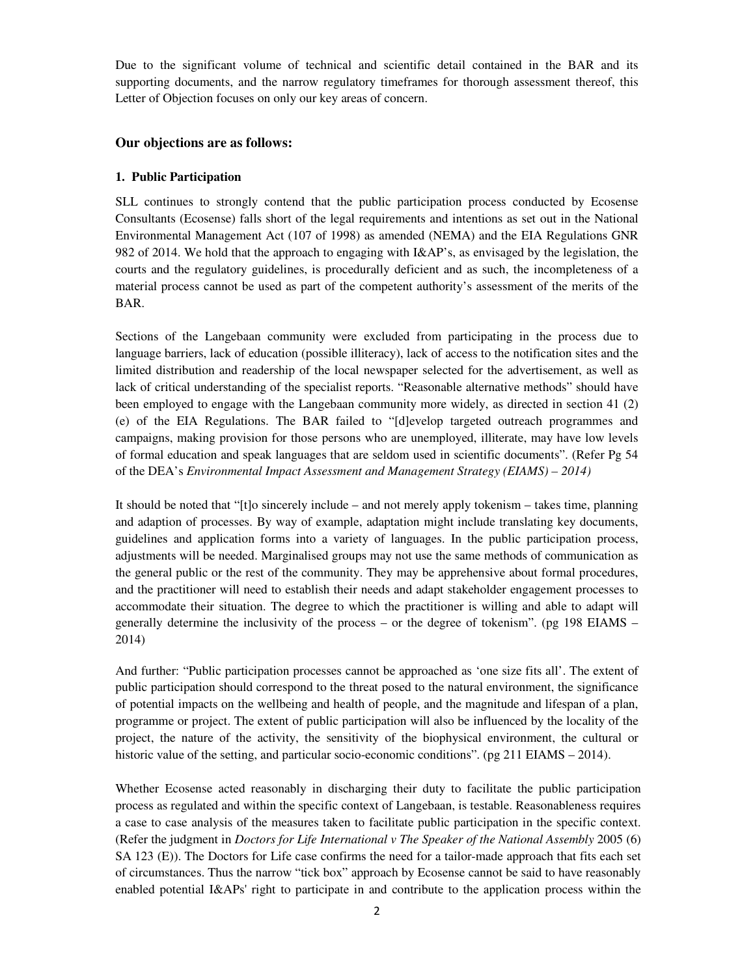Due to the significant volume of technical and scientific detail contained in the BAR and its supporting documents, and the narrow regulatory timeframes for thorough assessment thereof, this Letter of Objection focuses on only our key areas of concern.

## **Our objections are as follows:**

## **1. Public Participation**

SLL continues to strongly contend that the public participation process conducted by Ecosense Consultants (Ecosense) falls short of the legal requirements and intentions as set out in the National Environmental Management Act (107 of 1998) as amended (NEMA) and the EIA Regulations GNR 982 of 2014. We hold that the approach to engaging with I&AP's, as envisaged by the legislation, the courts and the regulatory guidelines, is procedurally deficient and as such, the incompleteness of a material process cannot be used as part of the competent authority's assessment of the merits of the BAR.

Sections of the Langebaan community were excluded from participating in the process due to language barriers, lack of education (possible illiteracy), lack of access to the notification sites and the limited distribution and readership of the local newspaper selected for the advertisement, as well as lack of critical understanding of the specialist reports. "Reasonable alternative methods" should have been employed to engage with the Langebaan community more widely, as directed in section 41 (2) (e) of the EIA Regulations. The BAR failed to "[d]evelop targeted outreach programmes and campaigns, making provision for those persons who are unemployed, illiterate, may have low levels of formal education and speak languages that are seldom used in scientific documents". (Refer Pg 54 of the DEA's *Environmental Impact Assessment and Management Strategy (EIAMS) – 2014)*

It should be noted that "[t]o sincerely include – and not merely apply tokenism – takes time, planning and adaption of processes. By way of example, adaptation might include translating key documents, guidelines and application forms into a variety of languages. In the public participation process, adjustments will be needed. Marginalised groups may not use the same methods of communication as the general public or the rest of the community. They may be apprehensive about formal procedures, and the practitioner will need to establish their needs and adapt stakeholder engagement processes to accommodate their situation. The degree to which the practitioner is willing and able to adapt will generally determine the inclusivity of the process – or the degree of tokenism". (pg 198 EIAMS – 2014)

And further: "Public participation processes cannot be approached as 'one size fits all'. The extent of public participation should correspond to the threat posed to the natural environment, the significance of potential impacts on the wellbeing and health of people, and the magnitude and lifespan of a plan, programme or project. The extent of public participation will also be influenced by the locality of the project, the nature of the activity, the sensitivity of the biophysical environment, the cultural or historic value of the setting, and particular socio-economic conditions". (pg 211 EIAMS – 2014).

Whether Ecosense acted reasonably in discharging their duty to facilitate the public participation process as regulated and within the specific context of Langebaan, is testable. Reasonableness requires a case to case analysis of the measures taken to facilitate public participation in the specific context. (Refer the judgment in *Doctors for Life International v The Speaker of the National Assembly* 2005 (6) SA 123 (E)). The Doctors for Life case confirms the need for a tailor-made approach that fits each set of circumstances. Thus the narrow "tick box" approach by Ecosense cannot be said to have reasonably enabled potential I&APs' right to participate in and contribute to the application process within the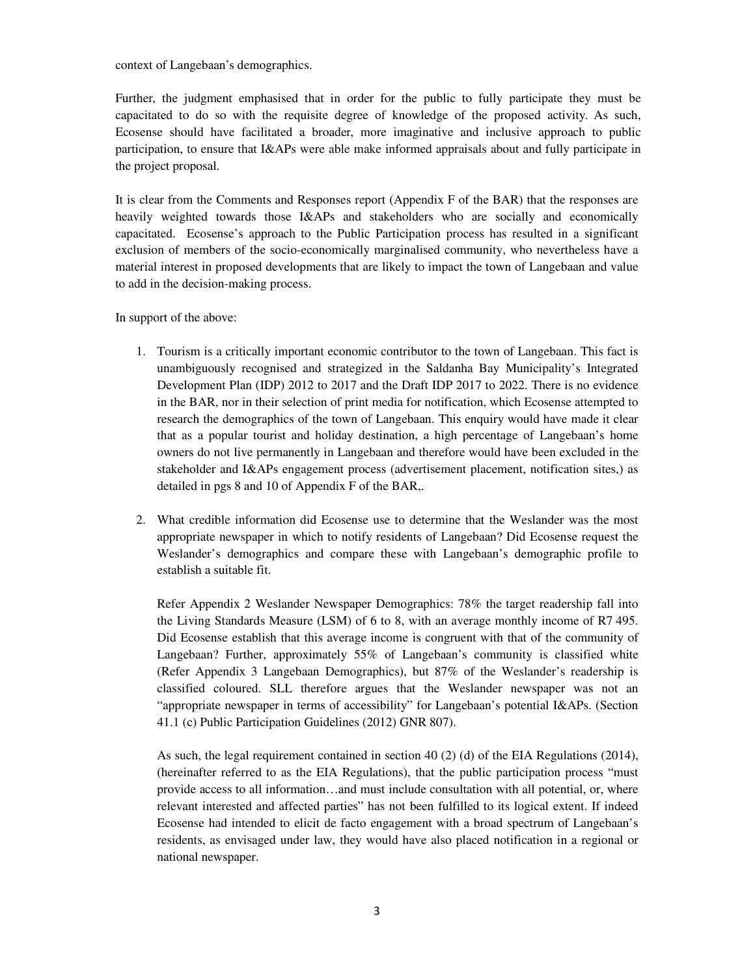context of Langebaan's demographics.

Further, the judgment emphasised that in order for the public to fully participate they must be capacitated to do so with the requisite degree of knowledge of the proposed activity. As such, Ecosense should have facilitated a broader, more imaginative and inclusive approach to public participation, to ensure that I&APs were able make informed appraisals about and fully participate in the project proposal.

It is clear from the Comments and Responses report (Appendix F of the BAR) that the responses are heavily weighted towards those I&APs and stakeholders who are socially and economically capacitated. Ecosense's approach to the Public Participation process has resulted in a significant exclusion of members of the socio-economically marginalised community, who nevertheless have a material interest in proposed developments that are likely to impact the town of Langebaan and value to add in the decision-making process.

In support of the above:

- 1. Tourism is a critically important economic contributor to the town of Langebaan. This fact is unambiguously recognised and strategized in the Saldanha Bay Municipality's Integrated Development Plan (IDP) 2012 to 2017 and the Draft IDP 2017 to 2022. There is no evidence in the BAR, nor in their selection of print media for notification, which Ecosense attempted to research the demographics of the town of Langebaan. This enquiry would have made it clear that as a popular tourist and holiday destination, a high percentage of Langebaan's home owners do not live permanently in Langebaan and therefore would have been excluded in the stakeholder and I&APs engagement process (advertisement placement, notification sites,) as detailed in pgs 8 and 10 of Appendix F of the BAR,.
- 2. What credible information did Ecosense use to determine that the Weslander was the most appropriate newspaper in which to notify residents of Langebaan? Did Ecosense request the Weslander's demographics and compare these with Langebaan's demographic profile to establish a suitable fit.

Refer Appendix 2 Weslander Newspaper Demographics: 78% the target readership fall into the Living Standards Measure (LSM) of 6 to 8, with an average monthly income of R7 495. Did Ecosense establish that this average income is congruent with that of the community of Langebaan? Further, approximately 55% of Langebaan's community is classified white (Refer Appendix 3 Langebaan Demographics), but 87% of the Weslander's readership is classified coloured. SLL therefore argues that the Weslander newspaper was not an "appropriate newspaper in terms of accessibility" for Langebaan's potential I&APs. (Section 41.1 (c) Public Participation Guidelines (2012) GNR 807).

As such, the legal requirement contained in section 40 (2) (d) of the EIA Regulations (2014), (hereinafter referred to as the EIA Regulations), that the public participation process "must provide access to all information…and must include consultation with all potential, or, where relevant interested and affected parties" has not been fulfilled to its logical extent. If indeed Ecosense had intended to elicit de facto engagement with a broad spectrum of Langebaan's residents, as envisaged under law, they would have also placed notification in a regional or national newspaper.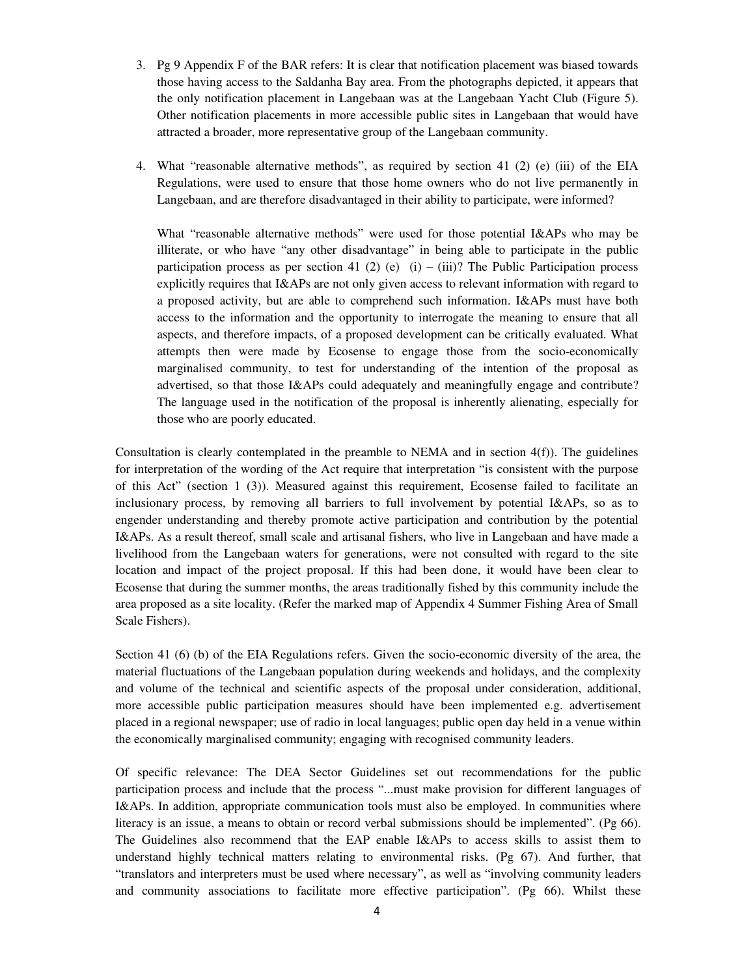- 3. Pg 9 Appendix F of the BAR refers: It is clear that notification placement was biased towards those having access to the Saldanha Bay area. From the photographs depicted, it appears that the only notification placement in Langebaan was at the Langebaan Yacht Club (Figure 5). Other notification placements in more accessible public sites in Langebaan that would have attracted a broader, more representative group of the Langebaan community.
- 4. What "reasonable alternative methods", as required by section 41 (2) (e) (iii) of the EIA Regulations, were used to ensure that those home owners who do not live permanently in Langebaan, and are therefore disadvantaged in their ability to participate, were informed?

What "reasonable alternative methods" were used for those potential I&APs who may be illiterate, or who have "any other disadvantage" in being able to participate in the public participation process as per section 41 (2) (e) (i) – (iii)? The Public Participation process explicitly requires that I&APs are not only given access to relevant information with regard to a proposed activity, but are able to comprehend such information. I&APs must have both access to the information and the opportunity to interrogate the meaning to ensure that all aspects, and therefore impacts, of a proposed development can be critically evaluated. What attempts then were made by Ecosense to engage those from the socio-economically marginalised community, to test for understanding of the intention of the proposal as advertised, so that those I&APs could adequately and meaningfully engage and contribute? The language used in the notification of the proposal is inherently alienating, especially for those who are poorly educated.

Consultation is clearly contemplated in the preamble to NEMA and in section 4(f)). The guidelines for interpretation of the wording of the Act require that interpretation "is consistent with the purpose of this Act" (section 1 (3)). Measured against this requirement, Ecosense failed to facilitate an inclusionary process, by removing all barriers to full involvement by potential I&APs, so as to engender understanding and thereby promote active participation and contribution by the potential I&APs. As a result thereof, small scale and artisanal fishers, who live in Langebaan and have made a livelihood from the Langebaan waters for generations, were not consulted with regard to the site location and impact of the project proposal. If this had been done, it would have been clear to Ecosense that during the summer months, the areas traditionally fished by this community include the area proposed as a site locality. (Refer the marked map of Appendix 4 Summer Fishing Area of Small Scale Fishers).

Section 41 (6) (b) of the EIA Regulations refers. Given the socio-economic diversity of the area, the material fluctuations of the Langebaan population during weekends and holidays, and the complexity and volume of the technical and scientific aspects of the proposal under consideration, additional, more accessible public participation measures should have been implemented e.g. advertisement placed in a regional newspaper; use of radio in local languages; public open day held in a venue within the economically marginalised community; engaging with recognised community leaders.

Of specific relevance: The DEA Sector Guidelines set out recommendations for the public participation process and include that the process "...must make provision for different languages of I&APs. In addition, appropriate communication tools must also be employed. In communities where literacy is an issue, a means to obtain or record verbal submissions should be implemented". (Pg 66). The Guidelines also recommend that the EAP enable I&APs to access skills to assist them to understand highly technical matters relating to environmental risks. (Pg 67). And further, that "translators and interpreters must be used where necessary", as well as "involving community leaders and community associations to facilitate more effective participation". (Pg 66). Whilst these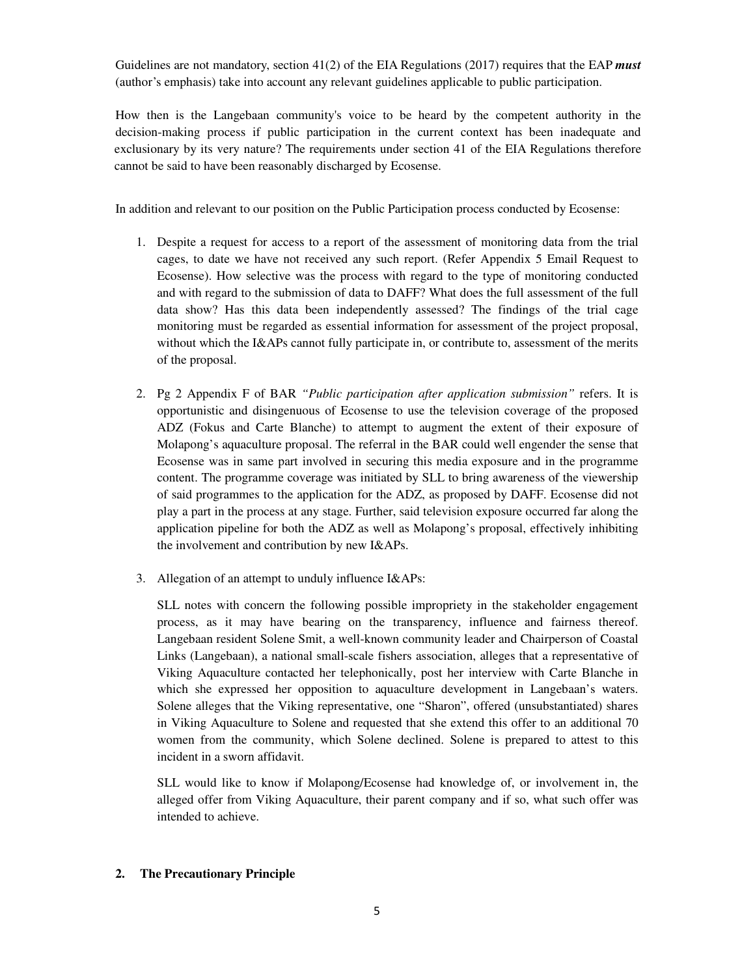Guidelines are not mandatory, section 41(2) of the EIA Regulations (2017) requires that the EAP *must* (author's emphasis) take into account any relevant guidelines applicable to public participation.

 How then is the Langebaan community's voice to be heard by the competent authority in the decision-making process if public participation in the current context has been inadequate and exclusionary by its very nature? The requirements under section 41 of the EIA Regulations therefore cannot be said to have been reasonably discharged by Ecosense.

In addition and relevant to our position on the Public Participation process conducted by Ecosense:

- 1. Despite a request for access to a report of the assessment of monitoring data from the trial cages, to date we have not received any such report. (Refer Appendix 5 Email Request to Ecosense). How selective was the process with regard to the type of monitoring conducted and with regard to the submission of data to DAFF? What does the full assessment of the full data show? Has this data been independently assessed? The findings of the trial cage monitoring must be regarded as essential information for assessment of the project proposal, without which the I&APs cannot fully participate in, or contribute to, assessment of the merits of the proposal.
- 2. Pg 2 Appendix F of BAR *"Public participation after application submission"* refers. It is opportunistic and disingenuous of Ecosense to use the television coverage of the proposed ADZ (Fokus and Carte Blanche) to attempt to augment the extent of their exposure of Molapong's aquaculture proposal. The referral in the BAR could well engender the sense that Ecosense was in same part involved in securing this media exposure and in the programme content. The programme coverage was initiated by SLL to bring awareness of the viewership of said programmes to the application for the ADZ, as proposed by DAFF. Ecosense did not play a part in the process at any stage. Further, said television exposure occurred far along the application pipeline for both the ADZ as well as Molapong's proposal, effectively inhibiting the involvement and contribution by new I&APs.
- 3. Allegation of an attempt to unduly influence I&APs:

SLL notes with concern the following possible impropriety in the stakeholder engagement process, as it may have bearing on the transparency, influence and fairness thereof. Langebaan resident Solene Smit, a well-known community leader and Chairperson of Coastal Links (Langebaan), a national small-scale fishers association, alleges that a representative of Viking Aquaculture contacted her telephonically, post her interview with Carte Blanche in which she expressed her opposition to aquaculture development in Langebaan's waters. Solene alleges that the Viking representative, one "Sharon", offered (unsubstantiated) shares in Viking Aquaculture to Solene and requested that she extend this offer to an additional 70 women from the community, which Solene declined. Solene is prepared to attest to this incident in a sworn affidavit.

SLL would like to know if Molapong/Ecosense had knowledge of, or involvement in, the alleged offer from Viking Aquaculture, their parent company and if so, what such offer was intended to achieve.

# **2. The Precautionary Principle**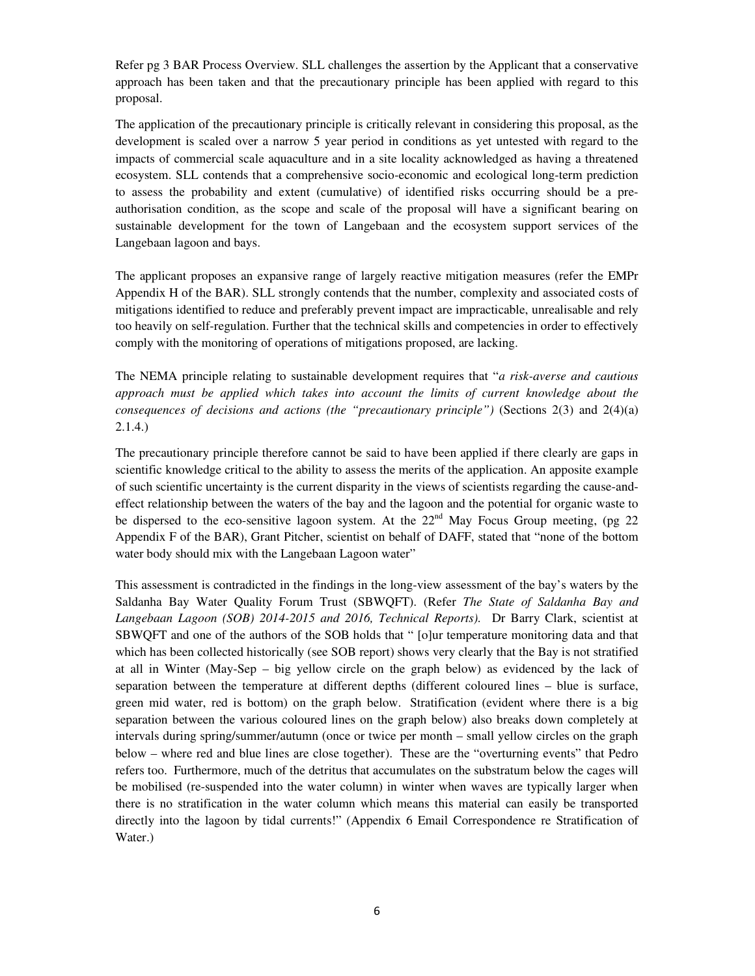Refer pg 3 BAR Process Overview. SLL challenges the assertion by the Applicant that a conservative approach has been taken and that the precautionary principle has been applied with regard to this proposal.

The application of the precautionary principle is critically relevant in considering this proposal, as the development is scaled over a narrow 5 year period in conditions as yet untested with regard to the impacts of commercial scale aquaculture and in a site locality acknowledged as having a threatened ecosystem. SLL contends that a comprehensive socio-economic and ecological long-term prediction to assess the probability and extent (cumulative) of identified risks occurring should be a preauthorisation condition, as the scope and scale of the proposal will have a significant bearing on sustainable development for the town of Langebaan and the ecosystem support services of the Langebaan lagoon and bays.

The applicant proposes an expansive range of largely reactive mitigation measures (refer the EMPr Appendix H of the BAR). SLL strongly contends that the number, complexity and associated costs of mitigations identified to reduce and preferably prevent impact are impracticable, unrealisable and rely too heavily on self-regulation. Further that the technical skills and competencies in order to effectively comply with the monitoring of operations of mitigations proposed, are lacking.

The NEMA principle relating to sustainable development requires that "*a risk-averse and cautious approach must be applied which takes into account the limits of current knowledge about the consequences of decisions and actions (the "precautionary principle")* (Sections 2(3) and 2(4)(a) 2.1.4.)

The precautionary principle therefore cannot be said to have been applied if there clearly are gaps in scientific knowledge critical to the ability to assess the merits of the application. An apposite example of such scientific uncertainty is the current disparity in the views of scientists regarding the cause-andeffect relationship between the waters of the bay and the lagoon and the potential for organic waste to be dispersed to the eco-sensitive lagoon system. At the  $22<sup>nd</sup>$  May Focus Group meeting, (pg 22) Appendix F of the BAR), Grant Pitcher, scientist on behalf of DAFF, stated that "none of the bottom water body should mix with the Langebaan Lagoon water"

This assessment is contradicted in the findings in the long-view assessment of the bay's waters by the Saldanha Bay Water Quality Forum Trust (SBWQFT). (Refer *The State of Saldanha Bay and Langebaan Lagoon (SOB) 2014-2015 and 2016, Technical Reports).* Dr Barry Clark, scientist at SBWQFT and one of the authors of the SOB holds that " [o]ur temperature monitoring data and that which has been collected historically (see SOB report) shows very clearly that the Bay is not stratified at all in Winter (May-Sep – big yellow circle on the graph below) as evidenced by the lack of separation between the temperature at different depths (different coloured lines – blue is surface, green mid water, red is bottom) on the graph below. Stratification (evident where there is a big separation between the various coloured lines on the graph below) also breaks down completely at intervals during spring/summer/autumn (once or twice per month – small yellow circles on the graph below – where red and blue lines are close together). These are the "overturning events" that Pedro refers too. Furthermore, much of the detritus that accumulates on the substratum below the cages will be mobilised (re-suspended into the water column) in winter when waves are typically larger when there is no stratification in the water column which means this material can easily be transported directly into the lagoon by tidal currents!" (Appendix 6 Email Correspondence re Stratification of Water.)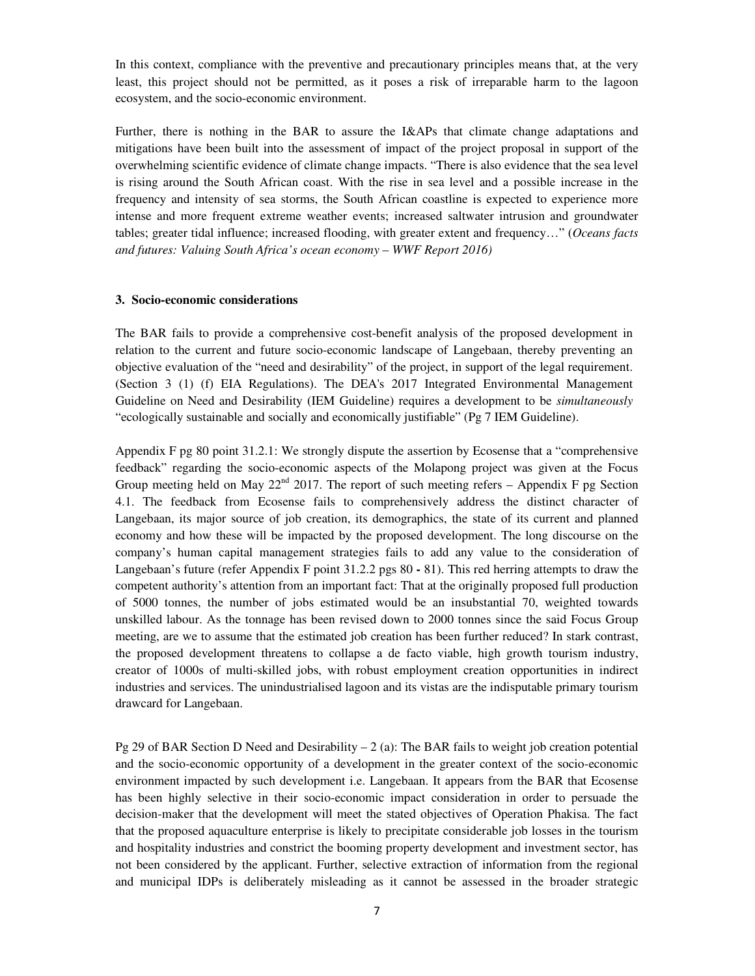In this context, compliance with the preventive and precautionary principles means that, at the very least, this project should not be permitted, as it poses a risk of irreparable harm to the lagoon ecosystem, and the socio-economic environment.

Further, there is nothing in the BAR to assure the I&APs that climate change adaptations and mitigations have been built into the assessment of impact of the project proposal in support of the overwhelming scientific evidence of climate change impacts. "There is also evidence that the sea level is rising around the South African coast. With the rise in sea level and a possible increase in the frequency and intensity of sea storms, the South African coastline is expected to experience more intense and more frequent extreme weather events; increased saltwater intrusion and groundwater tables; greater tidal influence; increased flooding, with greater extent and frequency…" (*Oceans facts and futures: Valuing South Africa's ocean economy – WWF Report 2016)* 

#### **3. Socio-economic considerations**

The BAR fails to provide a comprehensive cost-benefit analysis of the proposed development in relation to the current and future socio-economic landscape of Langebaan, thereby preventing an objective evaluation of the "need and desirability" of the project, in support of the legal requirement. (Section 3 (1) (f) EIA Regulations). The DEA's 2017 Integrated Environmental Management Guideline on Need and Desirability (IEM Guideline) requires a development to be *simultaneously* "ecologically sustainable and socially and economically justifiable" (Pg 7 IEM Guideline).

Appendix F pg 80 point 31.2.1: We strongly dispute the assertion by Ecosense that a "comprehensive feedback" regarding the socio-economic aspects of the Molapong project was given at the Focus Group meeting held on May  $22<sup>nd</sup>$  2017. The report of such meeting refers – Appendix F pg Section 4.1. The feedback from Ecosense fails to comprehensively address the distinct character of Langebaan, its major source of job creation, its demographics, the state of its current and planned economy and how these will be impacted by the proposed development. The long discourse on the company's human capital management strategies fails to add any value to the consideration of Langebaan's future (refer Appendix F point 31.2.2 pgs 80 **-** 81). This red herring attempts to draw the competent authority's attention from an important fact: That at the originally proposed full production of 5000 tonnes, the number of jobs estimated would be an insubstantial 70, weighted towards unskilled labour. As the tonnage has been revised down to 2000 tonnes since the said Focus Group meeting, are we to assume that the estimated job creation has been further reduced? In stark contrast, the proposed development threatens to collapse a de facto viable, high growth tourism industry, creator of 1000s of multi-skilled jobs, with robust employment creation opportunities in indirect industries and services. The unindustrialised lagoon and its vistas are the indisputable primary tourism drawcard for Langebaan.

Pg 29 of BAR Section D Need and Desirability – 2 (a): The BAR fails to weight job creation potential and the socio-economic opportunity of a development in the greater context of the socio-economic environment impacted by such development i.e. Langebaan. It appears from the BAR that Ecosense has been highly selective in their socio-economic impact consideration in order to persuade the decision-maker that the development will meet the stated objectives of Operation Phakisa. The fact that the proposed aquaculture enterprise is likely to precipitate considerable job losses in the tourism and hospitality industries and constrict the booming property development and investment sector, has not been considered by the applicant. Further, selective extraction of information from the regional and municipal IDPs is deliberately misleading as it cannot be assessed in the broader strategic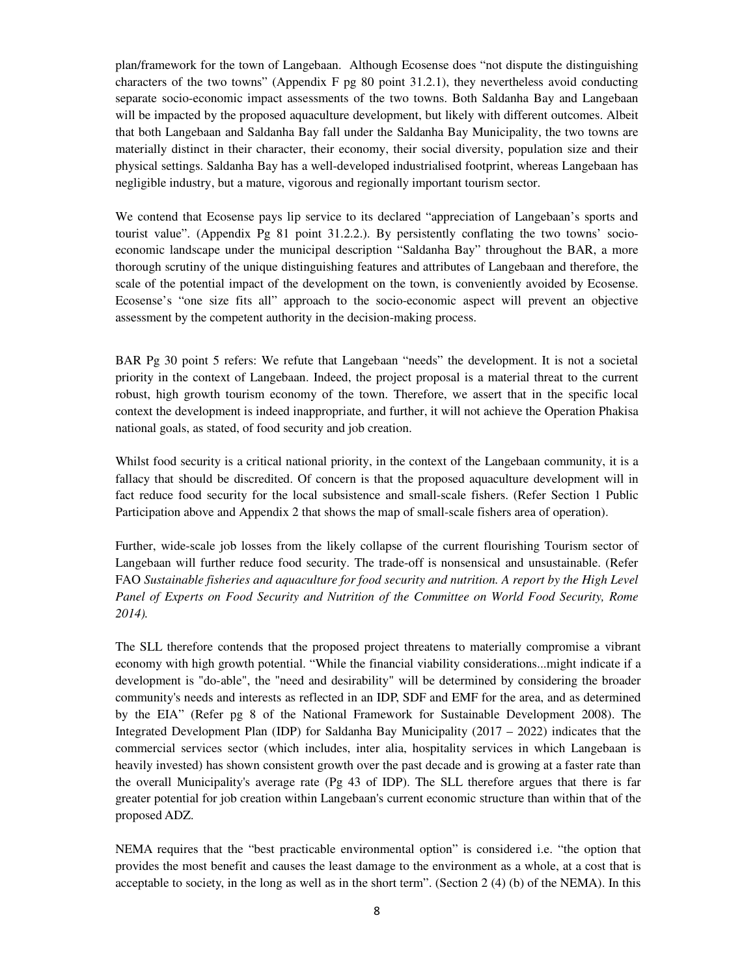plan/framework for the town of Langebaan. Although Ecosense does "not dispute the distinguishing characters of the two towns" (Appendix F pg 80 point 31.2.1), they nevertheless avoid conducting separate socio-economic impact assessments of the two towns. Both Saldanha Bay and Langebaan will be impacted by the proposed aquaculture development, but likely with different outcomes. Albeit that both Langebaan and Saldanha Bay fall under the Saldanha Bay Municipality, the two towns are materially distinct in their character, their economy, their social diversity, population size and their physical settings. Saldanha Bay has a well-developed industrialised footprint, whereas Langebaan has negligible industry, but a mature, vigorous and regionally important tourism sector.

We contend that Ecosense pays lip service to its declared "appreciation of Langebaan's sports and tourist value". (Appendix Pg 81 point 31.2.2.). By persistently conflating the two towns' socioeconomic landscape under the municipal description "Saldanha Bay" throughout the BAR, a more thorough scrutiny of the unique distinguishing features and attributes of Langebaan and therefore, the scale of the potential impact of the development on the town, is conveniently avoided by Ecosense. Ecosense's "one size fits all" approach to the socio-economic aspect will prevent an objective assessment by the competent authority in the decision-making process.

BAR Pg 30 point 5 refers: We refute that Langebaan "needs" the development. It is not a societal priority in the context of Langebaan. Indeed, the project proposal is a material threat to the current robust, high growth tourism economy of the town. Therefore, we assert that in the specific local context the development is indeed inappropriate, and further, it will not achieve the Operation Phakisa national goals, as stated, of food security and job creation.

Whilst food security is a critical national priority, in the context of the Langebaan community, it is a fallacy that should be discredited. Of concern is that the proposed aquaculture development will in fact reduce food security for the local subsistence and small-scale fishers. (Refer Section 1 Public Participation above and Appendix 2 that shows the map of small-scale fishers area of operation).

Further, wide-scale job losses from the likely collapse of the current flourishing Tourism sector of Langebaan will further reduce food security. The trade-off is nonsensical and unsustainable. (Refer FAO *Sustainable fisheries and aquaculture for food security and nutrition. A report by the High Level Panel of Experts on Food Security and Nutrition of the Committee on World Food Security, Rome 2014).* 

The SLL therefore contends that the proposed project threatens to materially compromise a vibrant economy with high growth potential. "While the financial viability considerations...might indicate if a development is "do-able", the "need and desirability" will be determined by considering the broader community's needs and interests as reflected in an IDP, SDF and EMF for the area, and as determined by the EIA" (Refer pg 8 of the National Framework for Sustainable Development 2008). The Integrated Development Plan (IDP) for Saldanha Bay Municipality (2017 – 2022) indicates that the commercial services sector (which includes, inter alia, hospitality services in which Langebaan is heavily invested) has shown consistent growth over the past decade and is growing at a faster rate than the overall Municipality's average rate (Pg 43 of IDP). The SLL therefore argues that there is far greater potential for job creation within Langebaan's current economic structure than within that of the proposed ADZ.

NEMA requires that the "best practicable environmental option" is considered i.e. "the option that provides the most benefit and causes the least damage to the environment as a whole, at a cost that is acceptable to society, in the long as well as in the short term". (Section 2 (4) (b) of the NEMA). In this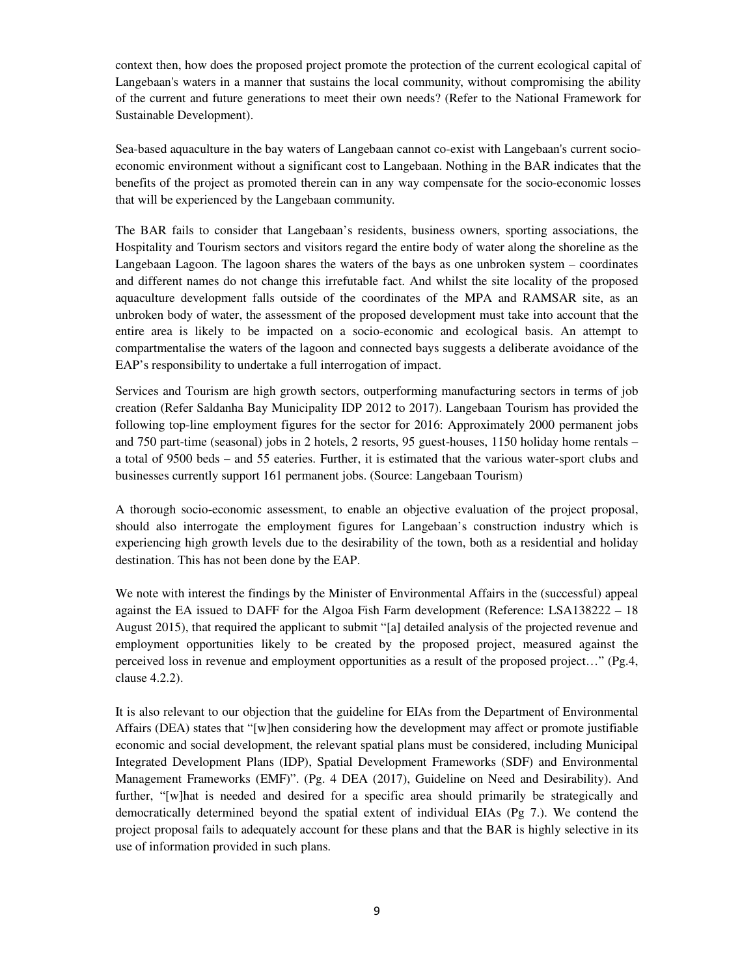context then, how does the proposed project promote the protection of the current ecological capital of Langebaan's waters in a manner that sustains the local community, without compromising the ability of the current and future generations to meet their own needs? (Refer to the National Framework for Sustainable Development).

Sea-based aquaculture in the bay waters of Langebaan cannot co-exist with Langebaan's current socioeconomic environment without a significant cost to Langebaan. Nothing in the BAR indicates that the benefits of the project as promoted therein can in any way compensate for the socio-economic losses that will be experienced by the Langebaan community.

The BAR fails to consider that Langebaan's residents, business owners, sporting associations, the Hospitality and Tourism sectors and visitors regard the entire body of water along the shoreline as the Langebaan Lagoon. The lagoon shares the waters of the bays as one unbroken system – coordinates and different names do not change this irrefutable fact. And whilst the site locality of the proposed aquaculture development falls outside of the coordinates of the MPA and RAMSAR site, as an unbroken body of water, the assessment of the proposed development must take into account that the entire area is likely to be impacted on a socio-economic and ecological basis. An attempt to compartmentalise the waters of the lagoon and connected bays suggests a deliberate avoidance of the EAP's responsibility to undertake a full interrogation of impact.

Services and Tourism are high growth sectors, outperforming manufacturing sectors in terms of job creation (Refer Saldanha Bay Municipality IDP 2012 to 2017). Langebaan Tourism has provided the following top-line employment figures for the sector for 2016: Approximately 2000 permanent jobs and 750 part-time (seasonal) jobs in 2 hotels, 2 resorts, 95 guest-houses, 1150 holiday home rentals – a total of 9500 beds – and 55 eateries. Further, it is estimated that the various water-sport clubs and businesses currently support 161 permanent jobs. (Source: Langebaan Tourism)

A thorough socio-economic assessment, to enable an objective evaluation of the project proposal, should also interrogate the employment figures for Langebaan's construction industry which is experiencing high growth levels due to the desirability of the town, both as a residential and holiday destination. This has not been done by the EAP.

We note with interest the findings by the Minister of Environmental Affairs in the (successful) appeal against the EA issued to DAFF for the Algoa Fish Farm development (Reference: LSA138222 – 18 August 2015), that required the applicant to submit "[a] detailed analysis of the projected revenue and employment opportunities likely to be created by the proposed project, measured against the perceived loss in revenue and employment opportunities as a result of the proposed project…" (Pg.4, clause 4.2.2).

It is also relevant to our objection that the guideline for EIAs from the Department of Environmental Affairs (DEA) states that "[w]hen considering how the development may affect or promote justifiable economic and social development, the relevant spatial plans must be considered, including Municipal Integrated Development Plans (IDP), Spatial Development Frameworks (SDF) and Environmental Management Frameworks (EMF)". (Pg. 4 DEA (2017), Guideline on Need and Desirability). And further, "[w]hat is needed and desired for a specific area should primarily be strategically and democratically determined beyond the spatial extent of individual EIAs (Pg 7.). We contend the project proposal fails to adequately account for these plans and that the BAR is highly selective in its use of information provided in such plans.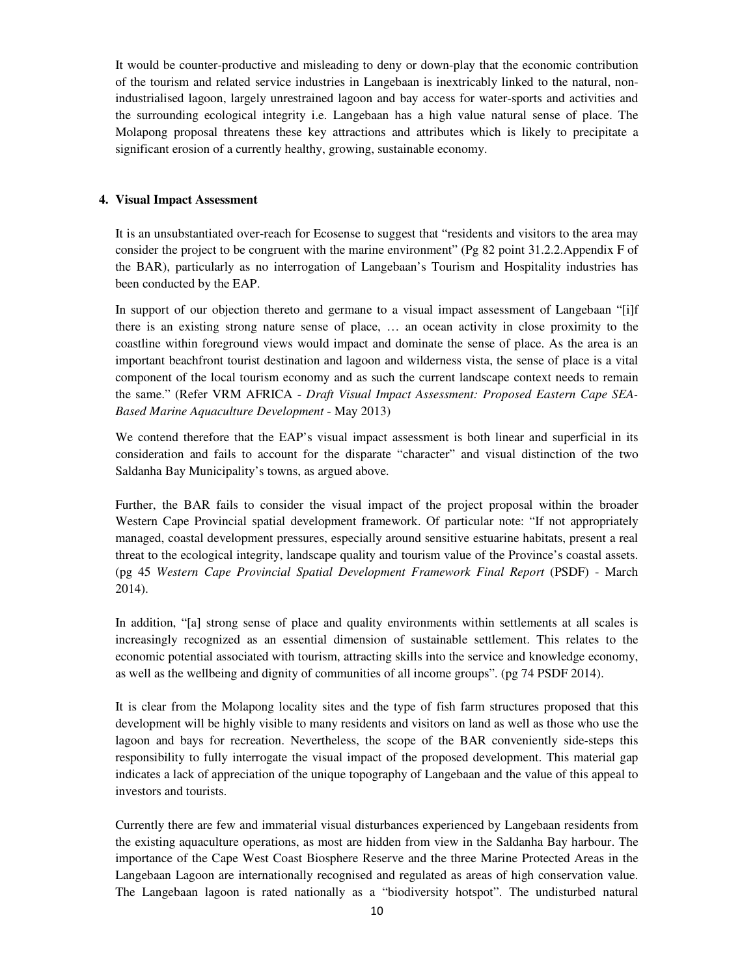It would be counter-productive and misleading to deny or down-play that the economic contribution of the tourism and related service industries in Langebaan is inextricably linked to the natural, nonindustrialised lagoon, largely unrestrained lagoon and bay access for water-sports and activities and the surrounding ecological integrity i.e. Langebaan has a high value natural sense of place. The Molapong proposal threatens these key attractions and attributes which is likely to precipitate a significant erosion of a currently healthy, growing, sustainable economy.

### **4. Visual Impact Assessment**

It is an unsubstantiated over-reach for Ecosense to suggest that "residents and visitors to the area may consider the project to be congruent with the marine environment" (Pg 82 point 31.2.2.Appendix F of the BAR), particularly as no interrogation of Langebaan's Tourism and Hospitality industries has been conducted by the EAP.

In support of our objection thereto and germane to a visual impact assessment of Langebaan "[i]f there is an existing strong nature sense of place, … an ocean activity in close proximity to the coastline within foreground views would impact and dominate the sense of place. As the area is an important beachfront tourist destination and lagoon and wilderness vista, the sense of place is a vital component of the local tourism economy and as such the current landscape context needs to remain the same." (Refer VRM AFRICA - *Draft Visual Impact Assessment: Proposed Eastern Cape SEA-Based Marine Aquaculture Development* - May 2013)

We contend therefore that the EAP's visual impact assessment is both linear and superficial in its consideration and fails to account for the disparate "character" and visual distinction of the two Saldanha Bay Municipality's towns, as argued above.

Further, the BAR fails to consider the visual impact of the project proposal within the broader Western Cape Provincial spatial development framework. Of particular note: "If not appropriately managed, coastal development pressures, especially around sensitive estuarine habitats, present a real threat to the ecological integrity, landscape quality and tourism value of the Province's coastal assets. (pg 45 *Western Cape Provincial Spatial Development Framework Final Report* (PSDF) - March 2014).

In addition, "[a] strong sense of place and quality environments within settlements at all scales is increasingly recognized as an essential dimension of sustainable settlement. This relates to the economic potential associated with tourism, attracting skills into the service and knowledge economy, as well as the wellbeing and dignity of communities of all income groups". (pg 74 PSDF 2014).

It is clear from the Molapong locality sites and the type of fish farm structures proposed that this development will be highly visible to many residents and visitors on land as well as those who use the lagoon and bays for recreation. Nevertheless, the scope of the BAR conveniently side-steps this responsibility to fully interrogate the visual impact of the proposed development. This material gap indicates a lack of appreciation of the unique topography of Langebaan and the value of this appeal to investors and tourists.

Currently there are few and immaterial visual disturbances experienced by Langebaan residents from the existing aquaculture operations, as most are hidden from view in the Saldanha Bay harbour. The importance of the Cape West Coast Biosphere Reserve and the three Marine Protected Areas in the Langebaan Lagoon are internationally recognised and regulated as areas of high conservation value. The Langebaan lagoon is rated nationally as a "biodiversity hotspot". The undisturbed natural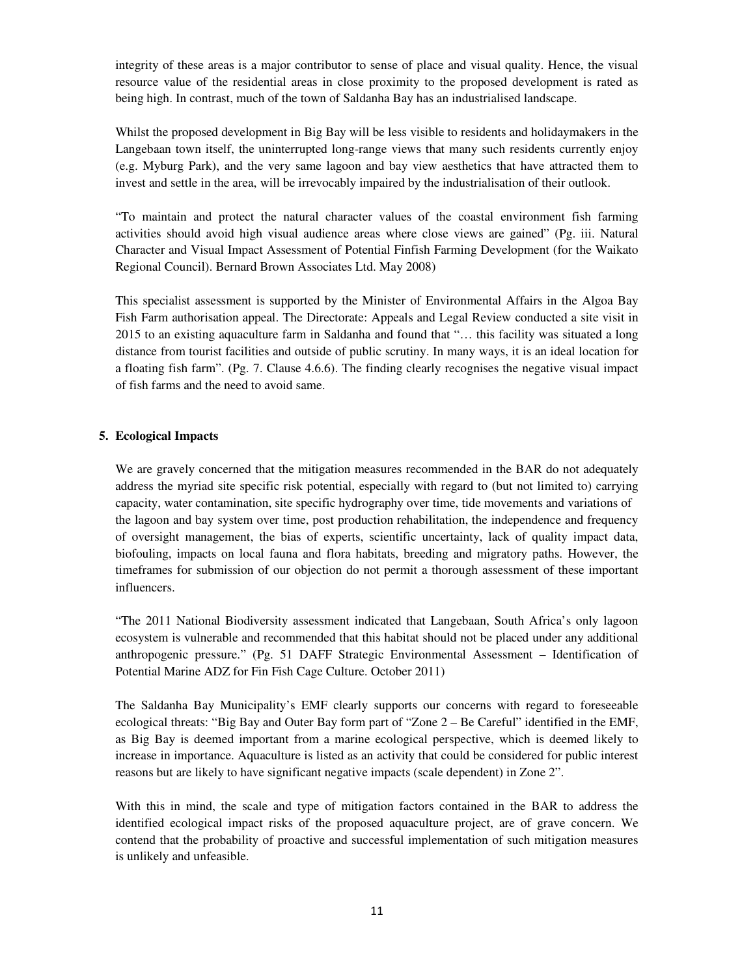integrity of these areas is a major contributor to sense of place and visual quality. Hence, the visual resource value of the residential areas in close proximity to the proposed development is rated as being high. In contrast, much of the town of Saldanha Bay has an industrialised landscape.

Whilst the proposed development in Big Bay will be less visible to residents and holidaymakers in the Langebaan town itself, the uninterrupted long-range views that many such residents currently enjoy (e.g. Myburg Park), and the very same lagoon and bay view aesthetics that have attracted them to invest and settle in the area, will be irrevocably impaired by the industrialisation of their outlook.

"To maintain and protect the natural character values of the coastal environment fish farming activities should avoid high visual audience areas where close views are gained" (Pg. iii. Natural Character and Visual Impact Assessment of Potential Finfish Farming Development (for the Waikato Regional Council). Bernard Brown Associates Ltd. May 2008)

This specialist assessment is supported by the Minister of Environmental Affairs in the Algoa Bay Fish Farm authorisation appeal. The Directorate: Appeals and Legal Review conducted a site visit in 2015 to an existing aquaculture farm in Saldanha and found that "… this facility was situated a long distance from tourist facilities and outside of public scrutiny. In many ways, it is an ideal location for a floating fish farm". (Pg. 7. Clause 4.6.6). The finding clearly recognises the negative visual impact of fish farms and the need to avoid same.

### **5. Ecological Impacts**

We are gravely concerned that the mitigation measures recommended in the BAR do not adequately address the myriad site specific risk potential, especially with regard to (but not limited to) carrying capacity, water contamination, site specific hydrography over time, tide movements and variations of the lagoon and bay system over time, post production rehabilitation, the independence and frequency of oversight management, the bias of experts, scientific uncertainty, lack of quality impact data, biofouling, impacts on local fauna and flora habitats, breeding and migratory paths. However, the timeframes for submission of our objection do not permit a thorough assessment of these important influencers.

"The 2011 National Biodiversity assessment indicated that Langebaan, South Africa's only lagoon ecosystem is vulnerable and recommended that this habitat should not be placed under any additional anthropogenic pressure." (Pg. 51 DAFF Strategic Environmental Assessment – Identification of Potential Marine ADZ for Fin Fish Cage Culture. October 2011)

The Saldanha Bay Municipality's EMF clearly supports our concerns with regard to foreseeable ecological threats: "Big Bay and Outer Bay form part of "Zone 2 – Be Careful" identified in the EMF, as Big Bay is deemed important from a marine ecological perspective, which is deemed likely to increase in importance. Aquaculture is listed as an activity that could be considered for public interest reasons but are likely to have significant negative impacts (scale dependent) in Zone 2".

With this in mind, the scale and type of mitigation factors contained in the BAR to address the identified ecological impact risks of the proposed aquaculture project, are of grave concern. We contend that the probability of proactive and successful implementation of such mitigation measures is unlikely and unfeasible.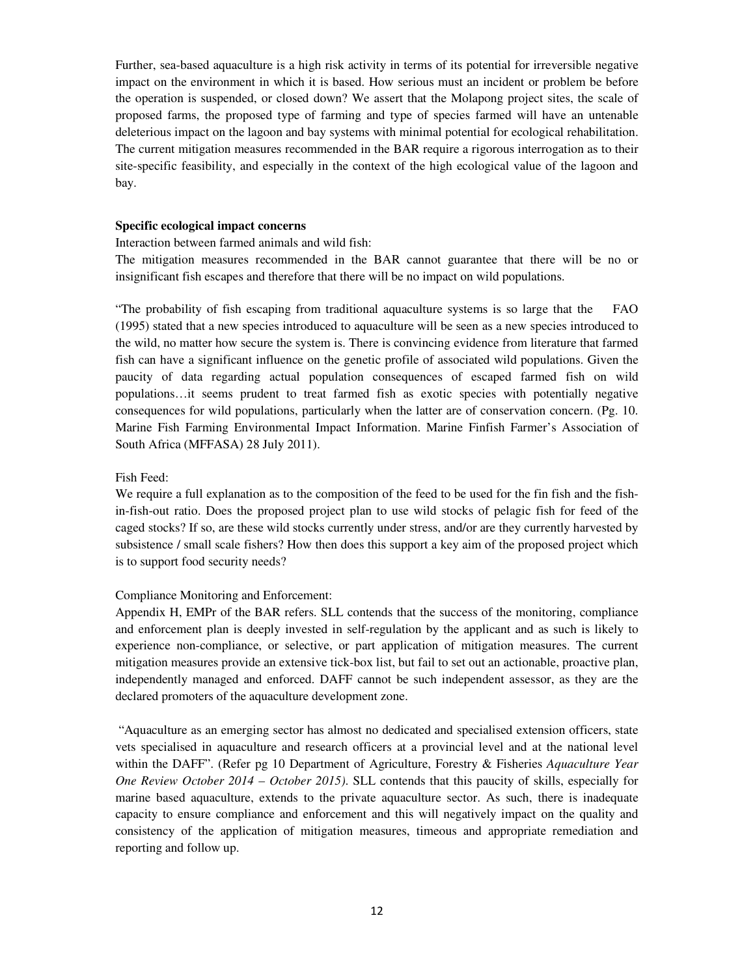Further, sea-based aquaculture is a high risk activity in terms of its potential for irreversible negative impact on the environment in which it is based. How serious must an incident or problem be before the operation is suspended, or closed down? We assert that the Molapong project sites, the scale of proposed farms, the proposed type of farming and type of species farmed will have an untenable deleterious impact on the lagoon and bay systems with minimal potential for ecological rehabilitation. The current mitigation measures recommended in the BAR require a rigorous interrogation as to their site-specific feasibility, and especially in the context of the high ecological value of the lagoon and bay.

### **Specific ecological impact concerns**

Interaction between farmed animals and wild fish:

The mitigation measures recommended in the BAR cannot guarantee that there will be no or insignificant fish escapes and therefore that there will be no impact on wild populations.

"The probability of fish escaping from traditional aquaculture systems is so large that the FAO (1995) stated that a new species introduced to aquaculture will be seen as a new species introduced to the wild, no matter how secure the system is. There is convincing evidence from literature that farmed fish can have a significant influence on the genetic profile of associated wild populations. Given the paucity of data regarding actual population consequences of escaped farmed fish on wild populations…it seems prudent to treat farmed fish as exotic species with potentially negative consequences for wild populations, particularly when the latter are of conservation concern. (Pg. 10. Marine Fish Farming Environmental Impact Information. Marine Finfish Farmer's Association of South Africa (MFFASA) 28 July 2011).

#### Fish Feed:

We require a full explanation as to the composition of the feed to be used for the fin fish and the fishin-fish-out ratio. Does the proposed project plan to use wild stocks of pelagic fish for feed of the caged stocks? If so, are these wild stocks currently under stress, and/or are they currently harvested by subsistence / small scale fishers? How then does this support a key aim of the proposed project which is to support food security needs?

#### Compliance Monitoring and Enforcement:

Appendix H, EMPr of the BAR refers. SLL contends that the success of the monitoring, compliance and enforcement plan is deeply invested in self-regulation by the applicant and as such is likely to experience non-compliance, or selective, or part application of mitigation measures. The current mitigation measures provide an extensive tick-box list, but fail to set out an actionable, proactive plan, independently managed and enforced. DAFF cannot be such independent assessor, as they are the declared promoters of the aquaculture development zone.

 "Aquaculture as an emerging sector has almost no dedicated and specialised extension officers, state vets specialised in aquaculture and research officers at a provincial level and at the national level within the DAFF". (Refer pg 10 Department of Agriculture, Forestry & Fisheries *Aquaculture Year One Review October 2014 – October 2015)*. SLL contends that this paucity of skills, especially for marine based aquaculture, extends to the private aquaculture sector. As such, there is inadequate capacity to ensure compliance and enforcement and this will negatively impact on the quality and consistency of the application of mitigation measures, timeous and appropriate remediation and reporting and follow up.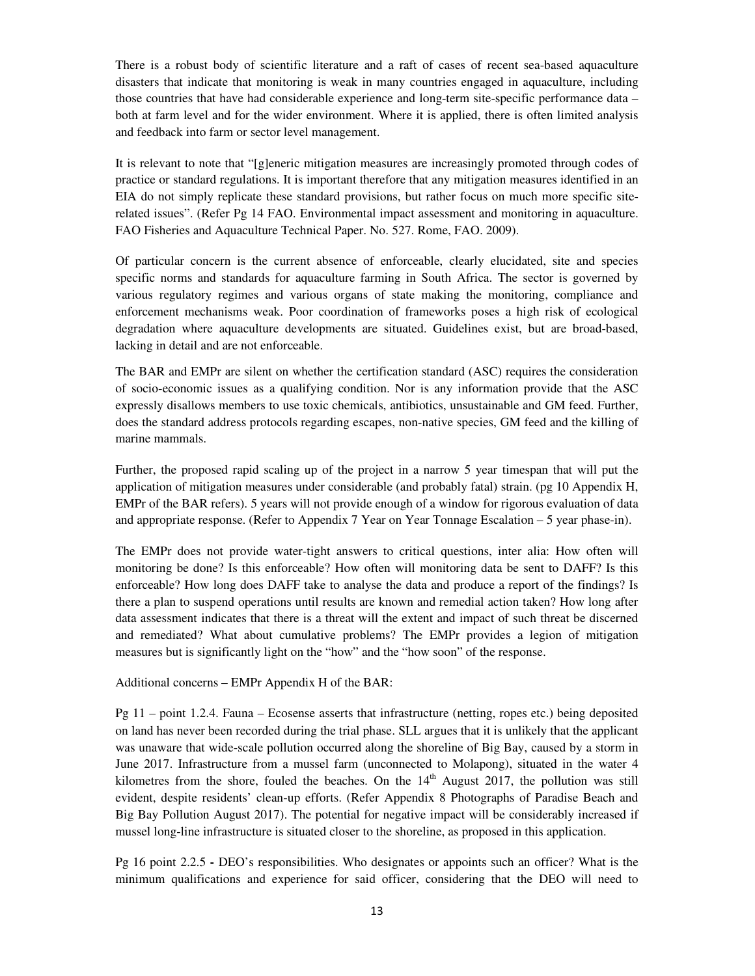There is a robust body of scientific literature and a raft of cases of recent sea-based aquaculture disasters that indicate that monitoring is weak in many countries engaged in aquaculture, including those countries that have had considerable experience and long-term site-specific performance data – both at farm level and for the wider environment. Where it is applied, there is often limited analysis and feedback into farm or sector level management.

It is relevant to note that "[g]eneric mitigation measures are increasingly promoted through codes of practice or standard regulations. It is important therefore that any mitigation measures identified in an EIA do not simply replicate these standard provisions, but rather focus on much more specific siterelated issues". (Refer Pg 14 FAO. Environmental impact assessment and monitoring in aquaculture. FAO Fisheries and Aquaculture Technical Paper. No. 527. Rome, FAO. 2009).

Of particular concern is the current absence of enforceable, clearly elucidated, site and species specific norms and standards for aquaculture farming in South Africa. The sector is governed by various regulatory regimes and various organs of state making the monitoring, compliance and enforcement mechanisms weak. Poor coordination of frameworks poses a high risk of ecological degradation where aquaculture developments are situated. Guidelines exist, but are broad-based, lacking in detail and are not enforceable.

The BAR and EMPr are silent on whether the certification standard (ASC) requires the consideration of socio-economic issues as a qualifying condition. Nor is any information provide that the ASC expressly disallows members to use toxic chemicals, antibiotics, unsustainable and GM feed. Further, does the standard address protocols regarding escapes, non-native species, GM feed and the killing of marine mammals.

Further, the proposed rapid scaling up of the project in a narrow 5 year timespan that will put the application of mitigation measures under considerable (and probably fatal) strain. (pg 10 Appendix H, EMPr of the BAR refers). 5 years will not provide enough of a window for rigorous evaluation of data and appropriate response. (Refer to Appendix 7 Year on Year Tonnage Escalation – 5 year phase-in).

The EMPr does not provide water-tight answers to critical questions, inter alia: How often will monitoring be done? Is this enforceable? How often will monitoring data be sent to DAFF? Is this enforceable? How long does DAFF take to analyse the data and produce a report of the findings? Is there a plan to suspend operations until results are known and remedial action taken? How long after data assessment indicates that there is a threat will the extent and impact of such threat be discerned and remediated? What about cumulative problems? The EMPr provides a legion of mitigation measures but is significantly light on the "how" and the "how soon" of the response.

#### Additional concerns – EMPr Appendix H of the BAR:

Pg 11 – point 1.2.4. Fauna – Ecosense asserts that infrastructure (netting, ropes etc.) being deposited on land has never been recorded during the trial phase. SLL argues that it is unlikely that the applicant was unaware that wide-scale pollution occurred along the shoreline of Big Bay, caused by a storm in June 2017. Infrastructure from a mussel farm (unconnected to Molapong), situated in the water 4 kilometres from the shore, fouled the beaches. On the  $14<sup>th</sup>$  August 2017, the pollution was still evident, despite residents' clean-up efforts. (Refer Appendix 8 Photographs of Paradise Beach and Big Bay Pollution August 2017). The potential for negative impact will be considerably increased if mussel long-line infrastructure is situated closer to the shoreline, as proposed in this application.

Pg 16 point 2.2.5 **-** DEO's responsibilities. Who designates or appoints such an officer? What is the minimum qualifications and experience for said officer, considering that the DEO will need to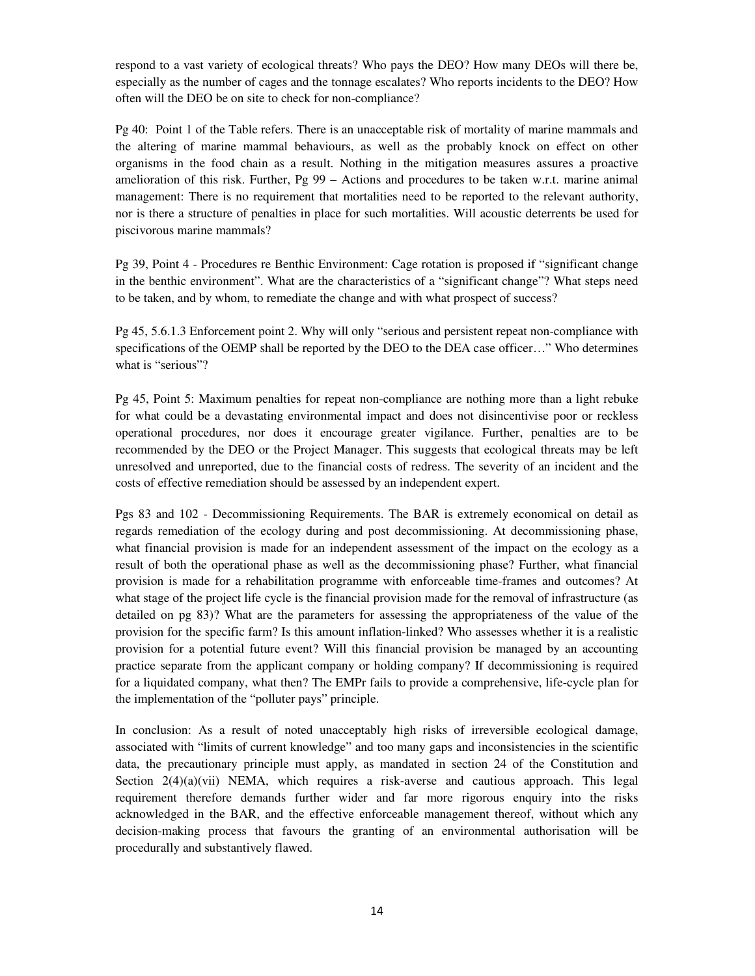respond to a vast variety of ecological threats? Who pays the DEO? How many DEOs will there be, especially as the number of cages and the tonnage escalates? Who reports incidents to the DEO? How often will the DEO be on site to check for non-compliance?

Pg 40: Point 1 of the Table refers. There is an unacceptable risk of mortality of marine mammals and the altering of marine mammal behaviours, as well as the probably knock on effect on other organisms in the food chain as a result. Nothing in the mitigation measures assures a proactive amelioration of this risk. Further, Pg 99 – Actions and procedures to be taken w.r.t. marine animal management: There is no requirement that mortalities need to be reported to the relevant authority, nor is there a structure of penalties in place for such mortalities. Will acoustic deterrents be used for piscivorous marine mammals?

Pg 39, Point 4 - Procedures re Benthic Environment: Cage rotation is proposed if "significant change in the benthic environment". What are the characteristics of a "significant change"? What steps need to be taken, and by whom, to remediate the change and with what prospect of success?

Pg 45, 5.6.1.3 Enforcement point 2. Why will only "serious and persistent repeat non-compliance with specifications of the OEMP shall be reported by the DEO to the DEA case officer…" Who determines what is "serious"?

Pg 45, Point 5: Maximum penalties for repeat non-compliance are nothing more than a light rebuke for what could be a devastating environmental impact and does not disincentivise poor or reckless operational procedures, nor does it encourage greater vigilance. Further, penalties are to be recommended by the DEO or the Project Manager. This suggests that ecological threats may be left unresolved and unreported, due to the financial costs of redress. The severity of an incident and the costs of effective remediation should be assessed by an independent expert.

Pgs 83 and 102 - Decommissioning Requirements. The BAR is extremely economical on detail as regards remediation of the ecology during and post decommissioning. At decommissioning phase, what financial provision is made for an independent assessment of the impact on the ecology as a result of both the operational phase as well as the decommissioning phase? Further, what financial provision is made for a rehabilitation programme with enforceable time-frames and outcomes? At what stage of the project life cycle is the financial provision made for the removal of infrastructure (as detailed on pg 83)? What are the parameters for assessing the appropriateness of the value of the provision for the specific farm? Is this amount inflation-linked? Who assesses whether it is a realistic provision for a potential future event? Will this financial provision be managed by an accounting practice separate from the applicant company or holding company? If decommissioning is required for a liquidated company, what then? The EMPr fails to provide a comprehensive, life-cycle plan for the implementation of the "polluter pays" principle.

In conclusion: As a result of noted unacceptably high risks of irreversible ecological damage, associated with "limits of current knowledge" and too many gaps and inconsistencies in the scientific data, the precautionary principle must apply, as mandated in section 24 of the Constitution and Section  $2(4)(a)(vii)$  NEMA, which requires a risk-averse and cautious approach. This legal requirement therefore demands further wider and far more rigorous enquiry into the risks acknowledged in the BAR, and the effective enforceable management thereof, without which any decision-making process that favours the granting of an environmental authorisation will be procedurally and substantively flawed.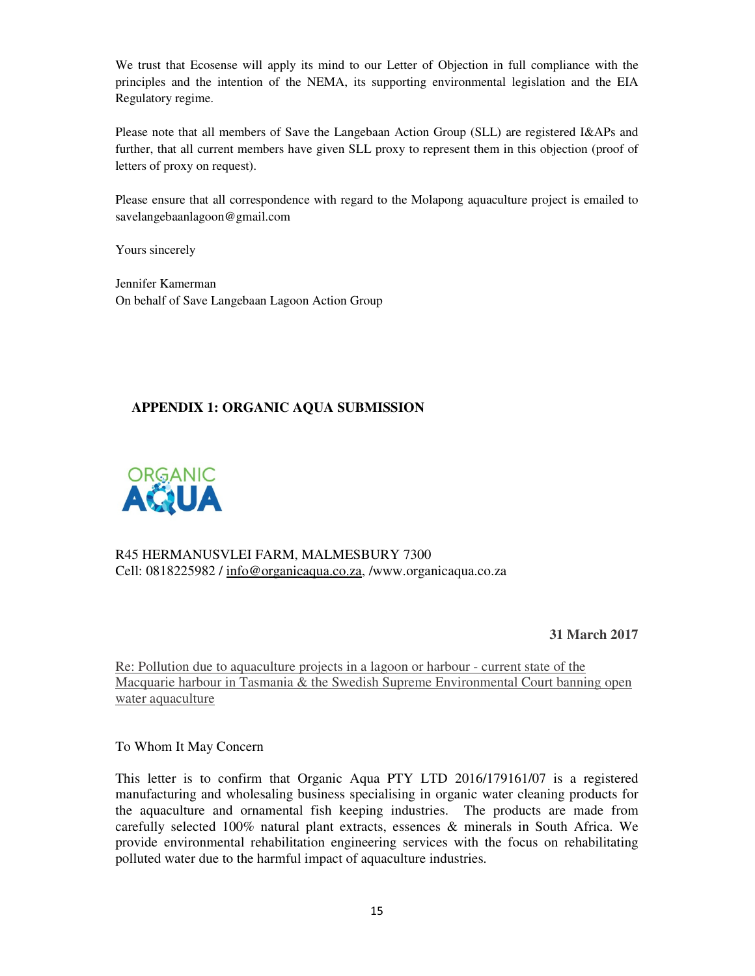We trust that Ecosense will apply its mind to our Letter of Objection in full compliance with the principles and the intention of the NEMA, its supporting environmental legislation and the EIA Regulatory regime.

Please note that all members of Save the Langebaan Action Group (SLL) are registered I&APs and further, that all current members have given SLL proxy to represent them in this objection (proof of letters of proxy on request).

Please ensure that all correspondence with regard to the Molapong aquaculture project is emailed to savelangebaanlagoon@gmail.com

Yours sincerely

Jennifer Kamerman On behalf of Save Langebaan Lagoon Action Group

# **APPENDIX 1: ORGANIC AQUA SUBMISSION**



R45 HERMANUSVLEI FARM, MALMESBURY 7300 Cell: 0818225982 / info@organicaqua.co.za, /www.organicaqua.co.za

**31 March 2017** 

Re: Pollution due to aquaculture projects in a lagoon or harbour - current state of the Macquarie harbour in Tasmania & the Swedish Supreme Environmental Court banning open water aquaculture

To Whom It May Concern

This letter is to confirm that Organic Aqua PTY LTD 2016/179161/07 is a registered manufacturing and wholesaling business specialising in organic water cleaning products for the aquaculture and ornamental fish keeping industries. The products are made from carefully selected 100% natural plant extracts, essences & minerals in South Africa. We provide environmental rehabilitation engineering services with the focus on rehabilitating polluted water due to the harmful impact of aquaculture industries.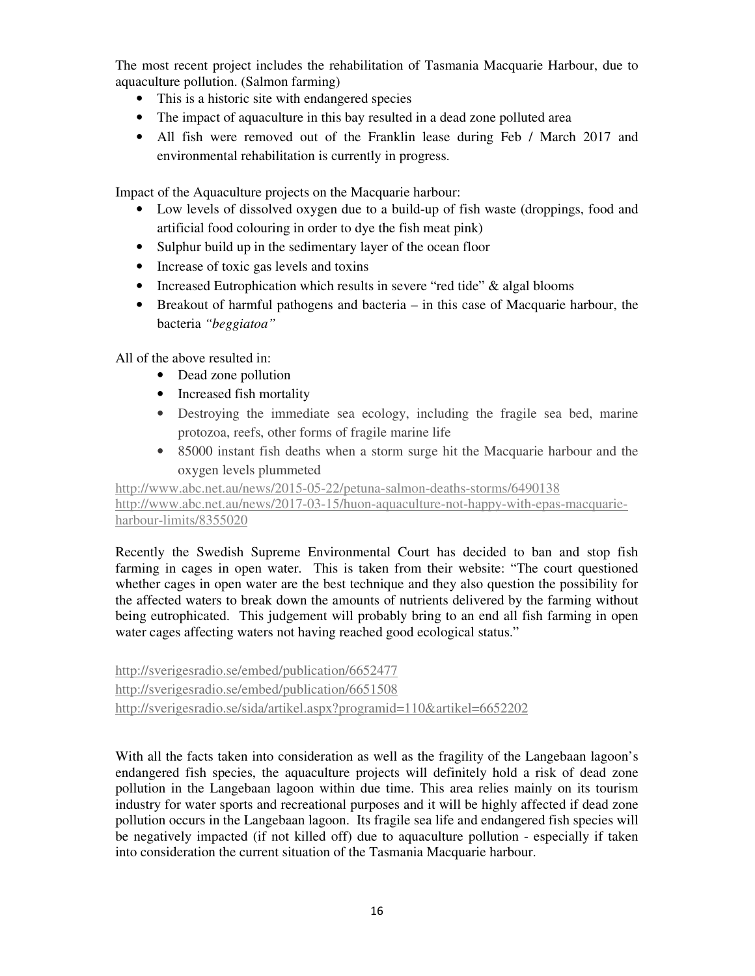The most recent project includes the rehabilitation of Tasmania Macquarie Harbour, due to aquaculture pollution. (Salmon farming)

- This is a historic site with endangered species
- The impact of aquaculture in this bay resulted in a dead zone polluted area
- All fish were removed out of the Franklin lease during Feb / March 2017 and environmental rehabilitation is currently in progress.

Impact of the Aquaculture projects on the Macquarie harbour:

- Low levels of dissolved oxygen due to a build-up of fish waste (droppings, food and artificial food colouring in order to dye the fish meat pink)
- Sulphur build up in the sedimentary layer of the ocean floor
- Increase of toxic gas levels and toxins
- Increased Eutrophication which results in severe "red tide" & algal blooms
- Breakout of harmful pathogens and bacteria in this case of Macquarie harbour, the bacteria *"beggiatoa"*

All of the above resulted in:

- Dead zone pollution
- Increased fish mortality
- Destroying the immediate sea ecology, including the fragile sea bed, marine protozoa, reefs, other forms of fragile marine life
- 85000 instant fish deaths when a storm surge hit the Macquarie harbour and the oxygen levels plummeted

http://www.abc.net.au/news/2015-05-22/petuna-salmon-deaths-storms/6490138 http://www.abc.net.au/news/2017-03-15/huon-aquaculture-not-happy-with-epas-macquarie-

## harbour-limits/8355020

Recently the Swedish Supreme Environmental Court has decided to ban and stop fish farming in cages in open water. This is taken from their website: "The court questioned whether cages in open water are the best technique and they also question the possibility for the affected waters to break down the amounts of nutrients delivered by the farming without being eutrophicated. This judgement will probably bring to an end all fish farming in open water cages affecting waters not having reached good ecological status."

http://sverigesradio.se/embed/publication/6652477 http://sverigesradio.se/embed/publication/6651508 http://sverigesradio.se/sida/artikel.aspx?programid=110&artikel=6652202

With all the facts taken into consideration as well as the fragility of the Langebaan lagoon's endangered fish species, the aquaculture projects will definitely hold a risk of dead zone pollution in the Langebaan lagoon within due time. This area relies mainly on its tourism industry for water sports and recreational purposes and it will be highly affected if dead zone pollution occurs in the Langebaan lagoon. Its fragile sea life and endangered fish species will be negatively impacted (if not killed off) due to aquaculture pollution - especially if taken into consideration the current situation of the Tasmania Macquarie harbour.